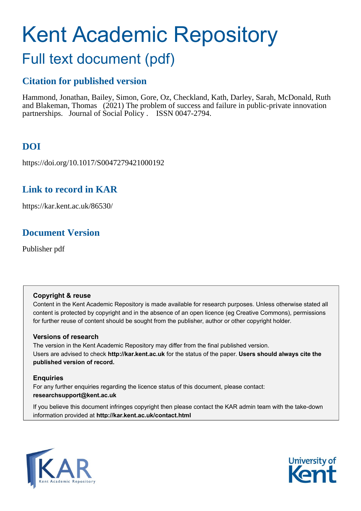# Kent Academic Repository

## Full text document (pdf)

## **Citation for published version**

Hammond, Jonathan, Bailey, Simon, Gore, Oz, Checkland, Kath, Darley, Sarah, McDonald, Ruth and Blakeman, Thomas (2021) The problem of success and failure in public-private innovation partnerships. Journal of Social Policy . ISSN 0047-2794.

## **DOI**

https://doi.org/10.1017/S0047279421000192

## **Link to record in KAR**

https://kar.kent.ac.uk/86530/

## **Document Version**

Publisher pdf

#### **Copyright & reuse**

Content in the Kent Academic Repository is made available for research purposes. Unless otherwise stated all content is protected by copyright and in the absence of an open licence (eg Creative Commons), permissions for further reuse of content should be sought from the publisher, author or other copyright holder.

#### **Versions of research**

The version in the Kent Academic Repository may differ from the final published version. Users are advised to check **http://kar.kent.ac.uk** for the status of the paper. **Users should always cite the published version of record.**

#### **Enquiries**

For any further enquiries regarding the licence status of this document, please contact: **researchsupport@kent.ac.uk**

If you believe this document infringes copyright then please contact the KAR admin team with the take-down information provided at **http://kar.kent.ac.uk/contact.html**



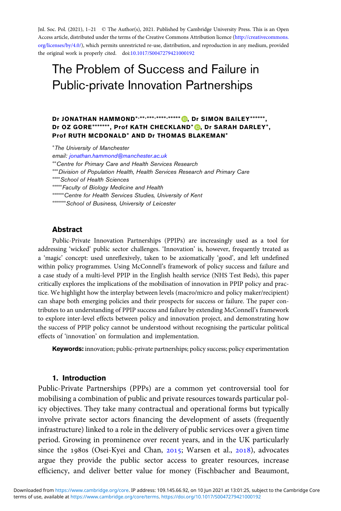Jnl. Soc. Pol. (2021), 1–21 © The Author(s), 2021. Published by Cambridge University Press. This is an Open Access article, distributed under the terms of the Creative Commons Attribution licence ([http://creativecommons.](http://creativecommons.org/licenses/by/4.0/) [org/licenses/by/4.0/\)](http://creativecommons.org/licenses/by/4.0/), which permits unrestricted re-use, distribution, and reproduction in any medium, provided the original work is properly cited. doi:[10.1017/S0047279421000192](https://doi.org/10.1017/S0047279421000192)

### The Problem of Success and Failure in Public-private Innovation Partnerships

#### Dr JONATHAN HAMMOND<sup>\*[,](https://orcid.org/0000-0002-4682-9514)\*\*,</sup>\*\*\*\*,\*\*\*\*,\*\*\*\*\* D, Dr SIMON BAILEY\*\*\*\*\*\*, Dr OZ GORE\*\*\*\*\*\*\*, Prof KATH CHECKLAND\* (D, Dr SARAH DARLEY\*, Prof RUTH MCDONALD∗ AND Dr THOMAS BLAKEMAN∗

∗ The University of Manchester

email: [jonathan.hammond@manchester.ac.uk](mailto:jonathan.hammond@manchester.ac.uk) ∗∗Centre for Primary Care and Health Services Research ∗∗∗Division of Population Health, Health Services Research and Primary Care ∗∗∗∗School of Health Sciences ∗∗∗∗∗Faculty of Biology Medicine and Health ∗∗∗∗∗∗Centre for Health Services Studies, University of Kent ∗∗∗∗∗∗∗School of Business, University of Leicester

#### Abstract

Public-Private Innovation Partnerships (PPIPs) are increasingly used as a tool for addressing 'wicked' public sector challenges. 'Innovation' is, however, frequently treated as a 'magic' concept: used unreflexively, taken to be axiomatically 'good', and left undefined within policy programmes. Using McConnell's framework of policy success and failure and a case study of a multi-level PPIP in the English health service (NHS Test Beds), this paper critically explores the implications of the mobilisation of innovation in PPIP policy and practice. We highlight how the interplay between levels (macro/micro and policy maker/recipient) can shape both emerging policies and their prospects for success or failure. The paper contributes to an understanding of PPIP success and failure by extending McConnell's framework to explore inter-level effects between policy and innovation project, and demonstrating how the success of PPIP policy cannot be understood without recognising the particular political effects of 'innovation' on formulation and implementation.

Keywords: innovation; public-private partnerships; policy success; policy experimentation

#### 1. Introduction

Public-Private Partnerships (PPPs) are a common yet controversial tool for mobilising a combination of public and private resources towards particular policy objectives. They take many contractual and operational forms but typically involve private sector actors financing the development of assets (frequently infrastructure) linked to a role in the delivery of public services over a given time period. Growing in prominence over recent years, and in the UK particularly since the 1980s (Osei-Kyei and Chan,  $2015$ ; Warsen et al.,  $2018$ ), advocates argue they provide the public sector access to greater resources, increase efficiency, and deliver better value for money (Fischbacher and Beaumont,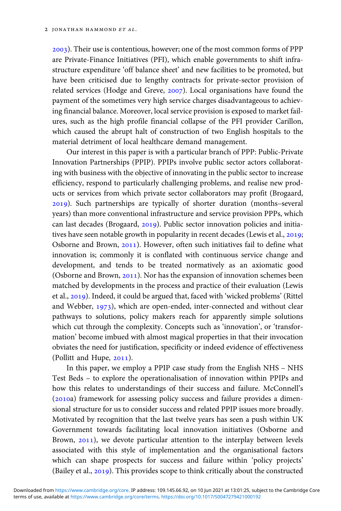). Their use is contentious, however; one of the most common forms of PPP are Private-Finance Initiatives (PFI), which enable governments to shift infrastructure expenditure 'off balance sheet' and new facilities to be promoted, but have been criticised due to lengthy contracts for private-sector provision of related services (Hodge and Greve, 2007). Local organisations have found the payment of the sometimes very high service charges disadvantageous to achieving financial balance. Moreover, local service provision is exposed to market failures, such as the high profile financial collapse of the PFI provider Carillon, which caused the abrupt halt of construction of two English hospitals to the material detriment of local healthcare demand management.

Our interest in this paper is with a particular branch of PPP: Public-Private Innovation Partnerships (PPIP). PPIPs involve public sector actors collaborating with business with the objective of innovating in the public sector to increase efficiency, respond to particularly challenging problems, and realise new products or services from which private sector collaborators may profit (Brogaard, ). Such partnerships are typically of shorter duration (months–several years) than more conventional infrastructure and service provision PPPs, which can last decades (Brogaard, 2019). Public sector innovation policies and initiatives have seen notable growth in popularity in recent decades (Lewis et al., 2019; Osborne and Brown, 2011). However, often such initiatives fail to define what innovation is; commonly it is conflated with continuous service change and development, and tends to be treated normatively as an axiomatic good (Osborne and Brown, 2011). Nor has the expansion of innovation schemes been matched by developments in the process and practice of their evaluation (Lewis et al., 2019). Indeed, it could be argued that, faced with 'wicked problems' (Rittel and Webber,  $1973$ ), which are open-ended, inter-connected and without clear pathways to solutions, policy makers reach for apparently simple solutions which cut through the complexity. Concepts such as 'innovation', or 'transformation' become imbued with almost magical properties in that their invocation obviates the need for justification, specificity or indeed evidence of effectiveness (Pollitt and Hupe,  $2011$ ).

In this paper, we employ a PPIP case study from the English NHS – NHS Test Beds – to explore the operationalisation of innovation within PPIPs and how this relates to understandings of their success and failure. McConnell's  $(2010a)$  framework for assessing policy success and failure provides a dimensional structure for us to consider success and related PPIP issues more broadly. Motivated by recognition that the last twelve years has seen a push within UK Government towards facilitating local innovation initiatives (Osborne and Brown, 2011), we devote particular attention to the interplay between levels associated with this style of implementation and the organisational factors which can shape prospects for success and failure within 'policy projects' (Bailey et al.,  $2019$ ). This provides scope to think critically about the constructed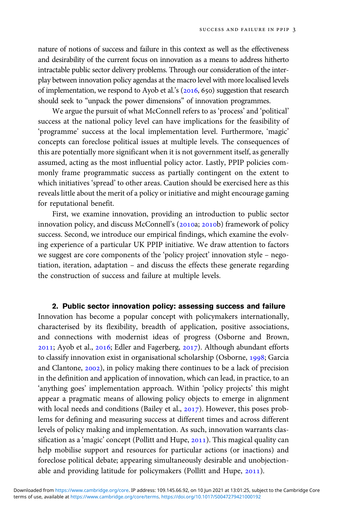nature of notions of success and failure in this context as well as the effectiveness and desirability of the current focus on innovation as a means to address hitherto intractable public sector delivery problems. Through our consideration of the interplay between innovation policy agendas at the macro level with more localised levels of implementation, we respond to Ayob et al.'s  $(2016, 650)$  suggestion that research should seek to "unpack the power dimensions" of innovation programmes.

We argue the pursuit of what McConnell refers to as 'process' and 'political' success at the national policy level can have implications for the feasibility of 'programme' success at the local implementation level. Furthermore, 'magic' concepts can foreclose political issues at multiple levels. The consequences of this are potentially more significant when it is not government itself, as generally assumed, acting as the most influential policy actor. Lastly, PPIP policies commonly frame programmatic success as partially contingent on the extent to which initiatives 'spread' to other areas. Caution should be exercised here as this reveals little about the merit of a policy or initiative and might encourage gaming for reputational benefit.

First, we examine innovation, providing an introduction to public sector innovation policy, and discuss McConnell's (2010a; 2010b) framework of policy success. Second, we introduce our empirical findings, which examine the evolving experience of a particular UK PPIP initiative. We draw attention to factors we suggest are core components of the 'policy project' innovation style – negotiation, iteration, adaptation – and discuss the effects these generate regarding the construction of success and failure at multiple levels.

2. Public sector innovation policy: assessing success and failure Innovation has become a popular concept with policymakers internationally, characterised by its flexibility, breadth of application, positive associations, and connections with modernist ideas of progress (Osborne and Brown,  $2011$ ; Ayob et al.,  $2016$ ; Edler and Fagerberg,  $2017$ ). Although abundant efforts to classify innovation exist in organisational scholarship (Osborne, 1998; Garcia and Clantone, 2002), in policy making there continues to be a lack of precision in the definition and application of innovation, which can lead, in practice, to an 'anything goes' implementation approach. Within 'policy projects' this might appear a pragmatic means of allowing policy objects to emerge in alignment with local needs and conditions (Bailey et al.,  $2017$ ). However, this poses problems for defining and measuring success at different times and across different levels of policy making and implementation. As such, innovation warrants classification as a 'magic' concept (Pollitt and Hupe, 2011). This magical quality can help mobilise support and resources for particular actions (or inactions) and foreclose political debate; appearing simultaneously desirable and unobjectionable and providing latitude for policymakers (Pollitt and Hupe,  $2011$ ).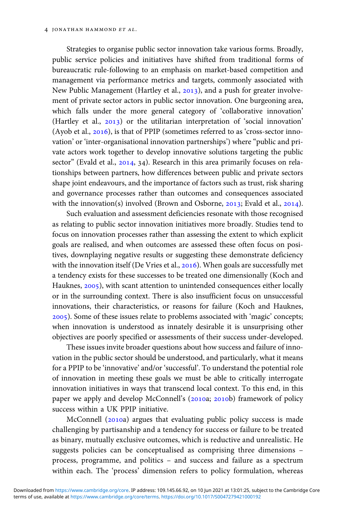Strategies to organise public sector innovation take various forms. Broadly, public service policies and initiatives have shifted from traditional forms of bureaucratic rule-following to an emphasis on market-based competition and management via performance metrics and targets, commonly associated with New Public Management (Hartley et al., 2013), and a push for greater involvement of private sector actors in public sector innovation. One burgeoning area, which falls under the more general category of 'collaborative innovation' (Hartley et al.,  $2013$ ) or the utilitarian interpretation of 'social innovation' (Ayob et al.,  $2016$ ), is that of PPIP (sometimes referred to as 'cross-sector innovation' or 'inter-organisational innovation partnerships') where "public and private actors work together to develop innovative solutions targeting the public sector" (Evald et al.,  $2014$ ,  $34$ ). Research in this area primarily focuses on relationships between partners, how differences between public and private sectors shape joint endeavours, and the importance of factors such as trust, risk sharing and governance processes rather than outcomes and consequences associated with the innovation(s) involved (Brown and Osborne,  $2013$ ; Evald et al.,  $2014$ ).

Such evaluation and assessment deficiencies resonate with those recognised as relating to public sector innovation initiatives more broadly. Studies tend to focus on innovation processes rather than assessing the extent to which explicit goals are realised, and when outcomes are assessed these often focus on positives, downplaying negative results or suggesting these demonstrate deficiency with the innovation itself (De Vries et al.,  $2016$ ). When goals are successfully met a tendency exists for these successes to be treated one dimensionally (Koch and Hauknes, 2005), with scant attention to unintended consequences either locally or in the surrounding context. There is also insufficient focus on unsuccessful innovations, their characteristics, or reasons for failure (Koch and Hauknes, ). Some of these issues relate to problems associated with 'magic' concepts; when innovation is understood as innately desirable it is unsurprising other objectives are poorly specified or assessments of their success under-developed.

These issues invite broader questions about how success and failure of innovation in the public sector should be understood, and particularly, what it means for a PPIP to be 'innovative' and/or 'successful'. To understand the potential role of innovation in meeting these goals we must be able to critically interrogate innovation initiatives in ways that transcend local context. To this end, in this paper we apply and develop McConnell's (2010a; 2010b) framework of policy success within a UK PPIP initiative.

McConnell (2010a) argues that evaluating public policy success is made challenging by partisanship and a tendency for success or failure to be treated as binary, mutually exclusive outcomes, which is reductive and unrealistic. He suggests policies can be conceptualised as comprising three dimensions – process, programme, and politics – and success and failure as a spectrum within each. The 'process' dimension refers to policy formulation, whereas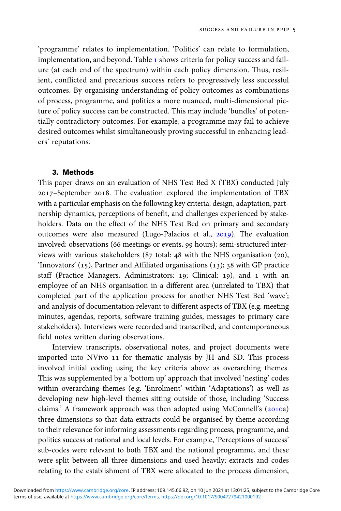'programme' relates to implementation. 'Politics' can relate to formulation, implementation, and beyond. Table 1 shows criteria for policy success and failure (at each end of the spectrum) within each policy dimension. Thus, resilient, conflicted and precarious success refers to progressively less successful outcomes. By organising understanding of policy outcomes as combinations of process, programme, and politics a more nuanced, multi-dimensional picture of policy success can be constructed. This may include 'bundles' of potentially contradictory outcomes. For example, a programme may fail to achieve desired outcomes whilst simultaneously proving successful in enhancing leaders' reputations.

#### 3. Methods

This paper draws on an evaluation of NHS Test Bed X (TBX) conducted July 2017-September 2018. The evaluation explored the implementation of TBX with a particular emphasis on the following key criteria: design, adaptation, partnership dynamics, perceptions of benefit, and challenges experienced by stakeholders. Data on the effect of the NHS Test Bed on primary and secondary outcomes were also measured (Lugo-Palacios et al., 2019). The evaluation involved: observations (66 meetings or events, 99 hours); semi-structured interviews with various stakeholders (87 total:  $48$  with the NHS organisation (20), 'Innovators'  $(15)$ , Partner and Affiliated organisations  $(13)$ ;  $38$  with GP practice staff (Practice Managers, Administrators: 19; Clinical: 19), and 1 with an employee of an NHS organisation in a different area (unrelated to TBX) that completed part of the application process for another NHS Test Bed 'wave'; and analysis of documentation relevant to different aspects of TBX (e.g. meeting minutes, agendas, reports, software training guides, messages to primary care stakeholders). Interviews were recorded and transcribed, and contemporaneous field notes written during observations.

Interview transcripts, observational notes, and project documents were imported into NVivo 11 for thematic analysis by JH and SD. This process involved initial coding using the key criteria above as overarching themes. This was supplemented by a 'bottom up' approach that involved 'nesting' codes within overarching themes (e.g. 'Enrolment' within 'Adaptations') as well as developing new high-level themes sitting outside of those, including 'Success claims.' A framework approach was then adopted using McConnell's  $(2010a)$ three dimensions so that data extracts could be organised by theme according to their relevance for informing assessments regarding process, programme, and politics success at national and local levels. For example, 'Perceptions of success' sub-codes were relevant to both TBX and the national programme, and these were split between all three dimensions and used heavily; extracts and codes relating to the establishment of TBX were allocated to the process dimension,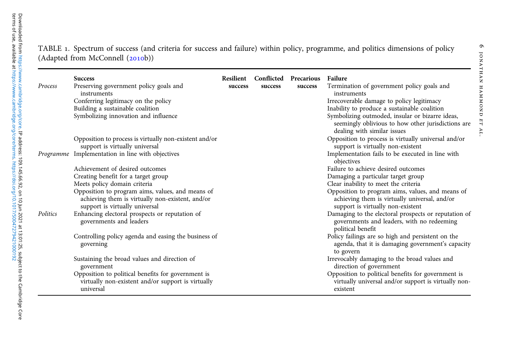| Process  | <b>Success</b><br>Preserving government policy goals and<br>instruments<br>Conferring legitimacy on the policy<br>Building a sustainable coalition<br>Symbolizing innovation and influence | Resilient<br>success | success | <b>Conflicted Precarious</b><br>success | Failure<br>Termination of government policy goals and<br>instruments<br>Irrecoverable damage to policy legitimacy<br>Inability to produce a sustainable coalition<br>Symbolizing outmoded, insular or bizarre ideas,<br>seemingly oblivious to how other jurisdictions are |
|----------|--------------------------------------------------------------------------------------------------------------------------------------------------------------------------------------------|----------------------|---------|-----------------------------------------|----------------------------------------------------------------------------------------------------------------------------------------------------------------------------------------------------------------------------------------------------------------------------|
|          | Opposition to process is virtually non-existent and/or<br>support is virtually universal<br>Programme Implementation in line with objectives                                               |                      |         |                                         | dealing with similar issues<br>Opposition to process is virtually universal and/or<br>support is virtually non-existent<br>Implementation fails to be executed in line with<br>objectives                                                                                  |
|          | Achievement of desired outcomes<br>Creating benefit for a target group<br>Meets policy domain criteria<br>Opposition to program aims, values, and means of                                 |                      |         |                                         | Failure to achieve desired outcomes<br>Damaging a particular target group<br>Clear inability to meet the criteria<br>Opposition to program aims, values, and means of                                                                                                      |
| Politics | achieving them is virtually non-existent, and/or<br>support is virtually universal<br>Enhancing electoral prospects or reputation of<br>governments and leaders                            |                      |         |                                         | achieving them is virtually universal, and/or<br>support is virtually non-existent<br>Damaging to the electoral prospects or reputation of<br>governments and leaders, with no redeeming                                                                                   |
|          | Controlling policy agenda and easing the business of<br>governing                                                                                                                          |                      |         |                                         | political benefit<br>Policy failings are so high and persistent on the<br>agenda, that it is damaging government's capacity<br>to govern                                                                                                                                   |
|          | Sustaining the broad values and direction of<br>government                                                                                                                                 |                      |         |                                         | Irrevocably damaging to the broad values and<br>direction of government                                                                                                                                                                                                    |
|          | Opposition to political benefits for government is<br>virtually non-existent and/or support is virtually<br>universal                                                                      |                      |         |                                         | Opposition to political benefits for government is<br>virtually universal and/or support is virtually non-<br>existent                                                                                                                                                     |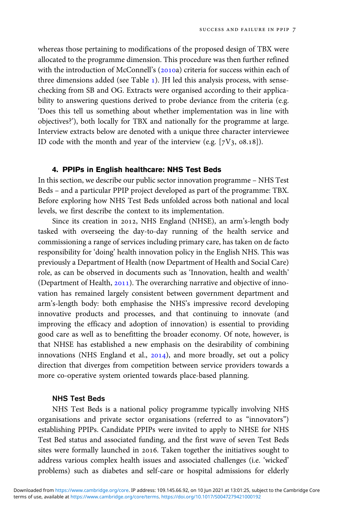whereas those pertaining to modifications of the proposed design of TBX were allocated to the programme dimension. This procedure was then further refined with the introduction of McConnell's (2010a) criteria for success within each of three dimensions added (see Table ). JH led this analysis process, with sensechecking from SB and OG. Extracts were organised according to their applicability to answering questions derived to probe deviance from the criteria (e.g. 'Does this tell us something about whether implementation was in line with objectives?'), both locally for TBX and nationally for the programme at large. Interview extracts below are denoted with a unique three character interviewee ID code with the month and year of the interview (e.g.  $[7V_3, 08.18]$ ).

#### 4. PPIPs in English healthcare: NHS Test Beds

In this section, we describe our public sector innovation programme – NHS Test Beds – and a particular PPIP project developed as part of the programme: TBX. Before exploring how NHS Test Beds unfolded across both national and local levels, we first describe the context to its implementation.

Since its creation in 2012, NHS England (NHSE), an arm's-length body tasked with overseeing the day-to-day running of the health service and commissioning a range of services including primary care, has taken on de facto responsibility for 'doing' health innovation policy in the English NHS. This was previously a Department of Health (now Department of Health and Social Care) role, as can be observed in documents such as 'Innovation, health and wealth' (Department of Health, 2011). The overarching narrative and objective of innovation has remained largely consistent between government department and arm's-length body: both emphasise the NHS's impressive record developing innovative products and processes, and that continuing to innovate (and improving the efficacy and adoption of innovation) is essential to providing good care as well as to benefitting the broader economy. Of note, however, is that NHSE has established a new emphasis on the desirability of combining innovations (NHS England et al.,  $2014$ ), and more broadly, set out a policy direction that diverges from competition between service providers towards a more co-operative system oriented towards place-based planning.

#### NHS Test Beds

NHS Test Beds is a national policy programme typically involving NHS organisations and private sector organisations (referred to as "innovators") establishing PPIPs. Candidate PPIPs were invited to apply to NHSE for NHS Test Bed status and associated funding, and the first wave of seven Test Beds sites were formally launched in 2016. Taken together the initiatives sought to address various complex health issues and associated challenges (i.e. 'wicked' problems) such as diabetes and self-care or hospital admissions for elderly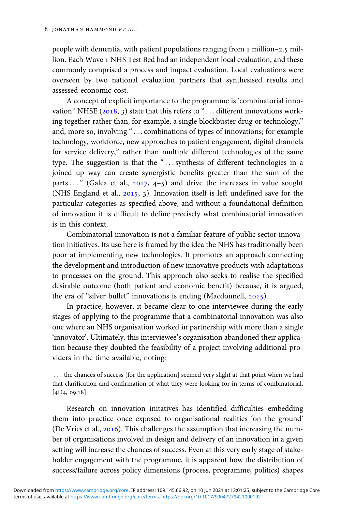people with dementia, with patient populations ranging from  $1$  million– $2.5$  million. Each Wave 1 NHS Test Bed had an independent local evaluation, and these commonly comprised a process and impact evaluation. Local evaluations were overseen by two national evaluation partners that synthesised results and assessed economic cost.

A concept of explicit importance to the programme is 'combinatorial innovation.' NHSE  $(2018, 3)$  state that this refers to " $\ldots$  different innovations working together rather than, for example, a single blockbuster drug or technology," and, more so, involving "... combinations of types of innovations; for example technology, workforce, new approaches to patient engagement, digital channels for service delivery," rather than multiple different technologies of the same type. The suggestion is that the "... synthesis of different technologies in a joined up way can create synergistic benefits greater than the sum of the parts..." (Galea et al.,  $2017$ ,  $4-5$ ) and drive the increases in value sought (NHS England et al.,  $2015$ , 3). Innovation itself is left undefined save for the particular categories as specified above, and without a foundational definition of innovation it is difficult to define precisely what combinatorial innovation is in this context.

Combinatorial innovation is not a familiar feature of public sector innovation initiatives. Its use here is framed by the idea the NHS has traditionally been poor at implementing new technologies. It promotes an approach connecting the development and introduction of new innovative products with adaptations to processes on the ground. This approach also seeks to realise the specified desirable outcome (both patient and economic benefit) because, it is argued, the era of "silver bullet" innovations is ending (Macdonnell, 2015).

In practice, however, it became clear to one interviewee during the early stages of applying to the programme that a combinatorial innovation was also one where an NHS organisation worked in partnership with more than a single 'innovator'. Ultimately, this interviewee's organisation abandoned their application because they doubted the feasibility of a project involving additional providers in the time available, noting:

... the chances of success [for the application] seemed very slight at that point when we had that clarification and confirmation of what they were looking for in terms of combinatorial.  $[4D<sub>4</sub>, 09.18]$ 

Research on innovation initatives has identified difficulties embedding them into practice once exposed to organisational realities 'on the ground' (De Vries et al.,  $2016$ ). This challenges the assumption that increasing the number of organisations involved in design and delivery of an innovation in a given setting will increase the chances of success. Even at this very early stage of stakeholder engagement with the programme, it is apparent how the distribution of success/failure across policy dimensions (process, programme, politics) shapes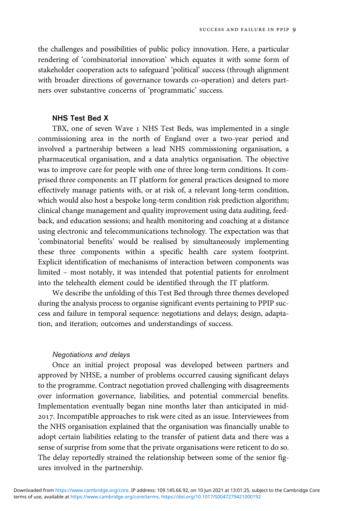the challenges and possibilities of public policy innovation. Here, a particular rendering of 'combinatorial innovation' which equates it with some form of stakeholder cooperation acts to safeguard 'political' success (through alignment with broader directions of governance towards co-operation) and deters partners over substantive concerns of 'programmatic' success.

#### NHS Test Bed X

TBX, one of seven Wave 1 NHS Test Beds, was implemented in a single commissioning area in the north of England over a two-year period and involved a partnership between a lead NHS commissioning organisation, a pharmaceutical organisation, and a data analytics organisation. The objective was to improve care for people with one of three long-term conditions. It comprised three components: an IT platform for general practices designed to more effectively manage patients with, or at risk of, a relevant long-term condition, which would also host a bespoke long-term condition risk prediction algorithm; clinical change management and quality improvement using data auditing, feedback, and education sessions; and health monitoring and coaching at a distance using electronic and telecommunications technology. The expectation was that 'combinatorial benefits' would be realised by simultaneously implementing these three components within a specific health care system footprint. Explicit identification of mechanisms of interaction between components was limited – most notably, it was intended that potential patients for enrolment into the telehealth element could be identified through the IT platform.

We describe the unfolding of this Test Bed through three themes developed during the analysis process to organise significant events pertaining to PPIP success and failure in temporal sequence: negotiations and delays; design, adaptation, and iteration; outcomes and understandings of success.

#### Negotiations and delays

Once an initial project proposal was developed between partners and approved by NHSE, a number of problems occurred causing significant delays to the programme. Contract negotiation proved challenging with disagreements over information governance, liabilities, and potential commercial benefits. Implementation eventually began nine months later than anticipated in mid- . Incompatible approaches to risk were cited as an issue. Interviewees from the NHS organisation explained that the organisation was financially unable to adopt certain liabilities relating to the transfer of patient data and there was a sense of surprise from some that the private organisations were reticent to do so. The delay reportedly strained the relationship between some of the senior figures involved in the partnership.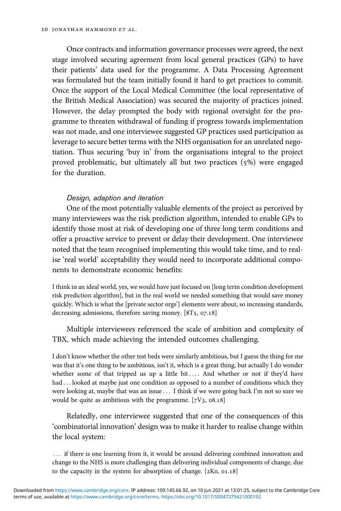Once contracts and information governance processes were agreed, the next stage involved securing agreement from local general practices (GPs) to have their patients' data used for the programme. A Data Processing Agreement was formulated but the team initially found it hard to get practices to commit. Once the support of the Local Medical Committee (the local representative of the British Medical Association) was secured the majority of practices joined. However, the delay prompted the body with regional oversight for the programme to threaten withdrawal of funding if progress towards implementation was not made, and one interviewee suggested GP practices used participation as leverage to secure better terms with the NHS organisation for an unrelated negotiation. Thus securing 'buy in' from the organisations integral to the project proved problematic, but ultimately all but two practices (5%) were engaged for the duration.

#### Design, adaption and iteration

One of the most potentially valuable elements of the project as perceived by many interviewees was the risk prediction algorithm, intended to enable GPs to identify those most at risk of developing one of three long term conditions and offer a proactive service to prevent or delay their development. One interviewee noted that the team recognised implementing this would take time, and to realise 'real world' acceptability they would need to incorporate additional components to demonstrate economic benefits:

I think in an ideal world, yes, we would have just focused on [long term condition development risk prediction algorithm], but in the real world we needed something that would save money quickly. Which is what the [private sector orgs'] elements were about, so increasing standards, decreasing admissions, therefore saving money.  $[8T_5, 07.18]$ 

Multiple interviewees referenced the scale of ambition and complexity of TBX, which made achieving the intended outcomes challenging.

I don't know whether the other test beds were similarly ambitious, but I guess the thing for me was that it's one thing to be ambitious, isn't it, which is a great thing, but actually I do wonder whether some of that tripped us up a little bit .... And whether or not if they'd have had ... looked at maybe just one condition as opposed to a number of conditions which they were looking at, maybe that was an issue . . . I think if we were going back I'm not so sure we would be quite as ambitious with the programme.  $[7V_3, 08.18]$ 

Relatedly, one interviewee suggested that one of the consequences of this 'combinatorial innovation' design was to make it harder to realise change within the local system:

... if there is one learning from it, it would be around delivering combined innovation and change to the NHS is more challenging than delivering individual components of change, due to the capacity in the system for absorption of change.  $[2K_0, 01.18]$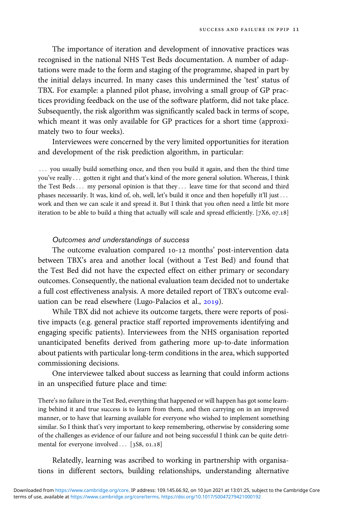The importance of iteration and development of innovative practices was recognised in the national NHS Test Beds documentation. A number of adaptations were made to the form and staging of the programme, shaped in part by the initial delays incurred. In many cases this undermined the 'test' status of TBX. For example: a planned pilot phase, involving a small group of GP practices providing feedback on the use of the software platform, did not take place. Subsequently, the risk algorithm was significantly scaled back in terms of scope, which meant it was only available for GP practices for a short time (approximately two to four weeks).

Interviewees were concerned by the very limited opportunities for iteration and development of the risk prediction algorithm, in particular:

::: you usually build something once, and then you build it again, and then the third time you've really ... gotten it right and that's kind of the more general solution. Whereas, I think the Test Beds... my personal opinion is that they... leave time for that second and third phases necessarily. It was, kind of, oh, well, let's build it once and then hopefully it'll just ... work and then we can scale it and spread it. But I think that you often need a little bit more iteration to be able to build a thing that actually will scale and spread efficiently.  $[7X6, 07.18]$ 

#### Outcomes and understandings of success

The outcome evaluation compared 10-12 months' post-intervention data between TBX's area and another local (without a Test Bed) and found that the Test Bed did not have the expected effect on either primary or secondary outcomes. Consequently, the national evaluation team decided not to undertake a full cost effectiveness analysis. A more detailed report of TBX's outcome evaluation can be read elsewhere (Lugo-Palacios et al., 2019).

While TBX did not achieve its outcome targets, there were reports of positive impacts (e.g. general practice staff reported improvements identifying and engaging specific patients). Interviewees from the NHS organisation reported unanticipated benefits derived from gathering more up-to-date information about patients with particular long-term conditions in the area, which supported commissioning decisions.

One interviewee talked about success as learning that could inform actions in an unspecified future place and time:

There's no failure in the Test Bed, everything that happened or will happen has got some learning behind it and true success is to learn from them, and then carrying on in an improved manner, or to have that learning available for everyone who wished to implement something similar. So I think that's very important to keep remembering, otherwise by considering some of the challenges as evidence of our failure and not being successful I think can be quite detrimental for everyone involved  $\ldots$  [3S8, 01.18]

Relatedly, learning was ascribed to working in partnership with organisations in different sectors, building relationships, understanding alternative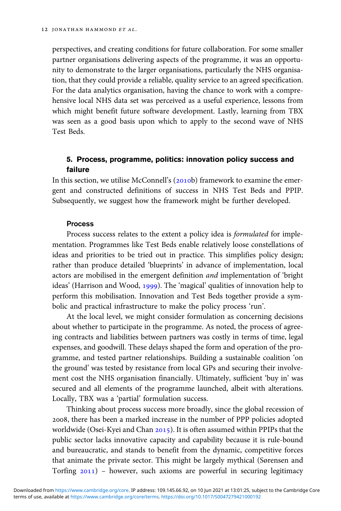perspectives, and creating conditions for future collaboration. For some smaller partner organisations delivering aspects of the programme, it was an opportunity to demonstrate to the larger organisations, particularly the NHS organisation, that they could provide a reliable, quality service to an agreed specification. For the data analytics organisation, having the chance to work with a comprehensive local NHS data set was perceived as a useful experience, lessons from which might benefit future software development. Lastly, learning from TBX was seen as a good basis upon which to apply to the second wave of NHS Test Beds.

#### 5. Process, programme, politics: innovation policy success and failure

In this section, we utilise McConnell's  $(2010b)$  framework to examine the emergent and constructed definitions of success in NHS Test Beds and PPIP. Subsequently, we suggest how the framework might be further developed.

#### Process

Process success relates to the extent a policy idea is formulated for implementation. Programmes like Test Beds enable relatively loose constellations of ideas and priorities to be tried out in practice. This simplifies policy design; rather than produce detailed 'blueprints' in advance of implementation, local actors are mobilised in the emergent definition and implementation of 'bright ideas' (Harrison and Wood, 1999). The 'magical' qualities of innovation help to perform this mobilisation. Innovation and Test Beds together provide a symbolic and practical infrastructure to make the policy process 'run'.

At the local level, we might consider formulation as concerning decisions about whether to participate in the programme. As noted, the process of agreeing contracts and liabilities between partners was costly in terms of time, legal expenses, and goodwill. These delays shaped the form and operation of the programme, and tested partner relationships. Building a sustainable coalition 'on the ground' was tested by resistance from local GPs and securing their involvement cost the NHS organisation financially. Ultimately, sufficient 'buy in' was secured and all elements of the programme launched, albeit with alterations. Locally, TBX was a 'partial' formulation success.

Thinking about process success more broadly, since the global recession of , there has been a marked increase in the number of PPP policies adopted worldwide (Osei-Kyei and Chan  $2015$ ). It is often assumed within PPIPs that the public sector lacks innovative capacity and capability because it is rule-bound and bureaucratic, and stands to benefit from the dynamic, competitive forces that animate the private sector. This might be largely mythical (Sørensen and Torfing  $2011$ ) – however, such axioms are powerful in securing legitimacy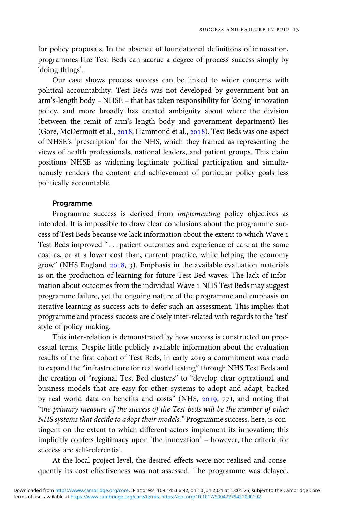for policy proposals. In the absence of foundational definitions of innovation, programmes like Test Beds can accrue a degree of process success simply by 'doing things'.

Our case shows process success can be linked to wider concerns with political accountability. Test Beds was not developed by government but an arm's-length body – NHSE – that has taken responsibility for 'doing' innovation policy, and more broadly has created ambiguity about where the division (between the remit of arm's length body and government department) lies (Gore, McDermott et al., 2018; Hammond et al., 2018). Test Beds was one aspect of NHSE's 'prescription' for the NHS, which they framed as representing the views of health professionals, national leaders, and patient groups. This claim positions NHSE as widening legitimate political participation and simultaneously renders the content and achievement of particular policy goals less politically accountable.

#### Programme

Programme success is derived from implementing policy objectives as intended. It is impossible to draw clear conclusions about the programme success of Test Beds because we lack information about the extent to which Wave Test Beds improved "... patient outcomes and experience of care at the same cost as, or at a lower cost than, current practice, while helping the economy grow" (NHS England  $2018$ , 3). Emphasis in the available evaluation materials is on the production of learning for future Test Bed waves. The lack of information about outcomes from the individual Wave 1 NHS Test Beds may suggest programme failure, yet the ongoing nature of the programme and emphasis on iterative learning as success acts to defer such an assessment. This implies that programme and process success are closely inter-related with regards to the 'test' style of policy making.

This inter-relation is demonstrated by how success is constructed on processual terms. Despite little publicly available information about the evaluation results of the first cohort of Test Beds, in early 2019 a commitment was made to expand the "infrastructure for real world testing" through NHS Test Beds and the creation of "regional Test Bed clusters" to "develop clear operational and business models that are easy for other systems to adopt and adapt, backed by real world data on benefits and costs" (NHS,  $2019$ ,  $77$ ), and noting that "the primary measure of the success of the Test beds will be the number of other NHS systems that decide to adopt their models." Programme success, here, is contingent on the extent to which different actors implement its innovation; this implicitly confers legitimacy upon 'the innovation' – however, the criteria for success are self-referential.

At the local project level, the desired effects were not realised and consequently its cost effectiveness was not assessed. The programme was delayed,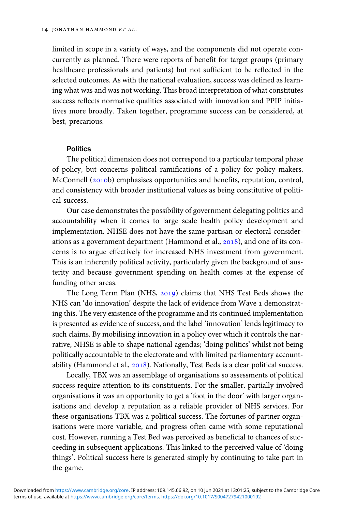limited in scope in a variety of ways, and the components did not operate concurrently as planned. There were reports of benefit for target groups (primary healthcare professionals and patients) but not sufficient to be reflected in the selected outcomes. As with the national evaluation, success was defined as learning what was and was not working. This broad interpretation of what constitutes success reflects normative qualities associated with innovation and PPIP initiatives more broadly. Taken together, programme success can be considered, at best, precarious.

#### **Politics**

The political dimension does not correspond to a particular temporal phase of policy, but concerns political ramifications of a policy for policy makers. McConnell (2010b) emphasises opportunities and benefits, reputation, control, and consistency with broader institutional values as being constitutive of political success.

Our case demonstrates the possibility of government delegating politics and accountability when it comes to large scale health policy development and implementation. NHSE does not have the same partisan or electoral considerations as a government department (Hammond et al., 2018), and one of its concerns is to argue effectively for increased NHS investment from government. This is an inherently political activity, particularly given the background of austerity and because government spending on health comes at the expense of funding other areas.

The Long Term Plan (NHS, 2019) claims that NHS Test Beds shows the NHS can 'do innovation' despite the lack of evidence from Wave 1 demonstrating this. The very existence of the programme and its continued implementation is presented as evidence of success, and the label 'innovation' lends legitimacy to such claims. By mobilising innovation in a policy over which it controls the narrative, NHSE is able to shape national agendas; 'doing politics' whilst not being politically accountable to the electorate and with limited parliamentary accountability (Hammond et al., 2018). Nationally, Test Beds is a clear political success.

Locally, TBX was an assemblage of organisations so assessments of political success require attention to its constituents. For the smaller, partially involved organisations it was an opportunity to get a 'foot in the door' with larger organisations and develop a reputation as a reliable provider of NHS services. For these organisations TBX was a political success. The fortunes of partner organisations were more variable, and progress often came with some reputational cost. However, running a Test Bed was perceived as beneficial to chances of succeeding in subsequent applications. This linked to the perceived value of 'doing things'. Political success here is generated simply by continuing to take part in the game.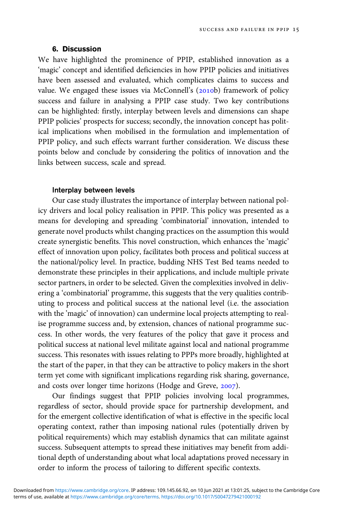#### 6. Discussion

We have highlighted the prominence of PPIP, established innovation as a 'magic' concept and identified deficiencies in how PPIP policies and initiatives have been assessed and evaluated, which complicates claims to success and value. We engaged these issues via McConnell's (2010b) framework of policy success and failure in analysing a PPIP case study. Two key contributions can be highlighted: firstly, interplay between levels and dimensions can shape PPIP policies' prospects for success; secondly, the innovation concept has political implications when mobilised in the formulation and implementation of PPIP policy, and such effects warrant further consideration. We discuss these points below and conclude by considering the politics of innovation and the links between success, scale and spread.

#### Interplay between levels

Our case study illustrates the importance of interplay between national policy drivers and local policy realisation in PPIP. This policy was presented as a means for developing and spreading 'combinatorial' innovation, intended to generate novel products whilst changing practices on the assumption this would create synergistic benefits. This novel construction, which enhances the 'magic' effect of innovation upon policy, facilitates both process and political success at the national/policy level. In practice, budding NHS Test Bed teams needed to demonstrate these principles in their applications, and include multiple private sector partners, in order to be selected. Given the complexities involved in delivering a 'combinatorial' programme, this suggests that the very qualities contributing to process and political success at the national level (i.e. the association with the 'magic' of innovation) can undermine local projects attempting to realise programme success and, by extension, chances of national programme success. In other words, the very features of the policy that gave it process and political success at national level militate against local and national programme success. This resonates with issues relating to PPPs more broadly, highlighted at the start of the paper, in that they can be attractive to policy makers in the short term yet come with significant implications regarding risk sharing, governance, and costs over longer time horizons (Hodge and Greve, 2007).

Our findings suggest that PPIP policies involving local programmes, regardless of sector, should provide space for partnership development, and for the emergent collective identification of what is effective in the specific local operating context, rather than imposing national rules (potentially driven by political requirements) which may establish dynamics that can militate against success. Subsequent attempts to spread these initiatives may benefit from additional depth of understanding about what local adaptations proved necessary in order to inform the process of tailoring to different specific contexts.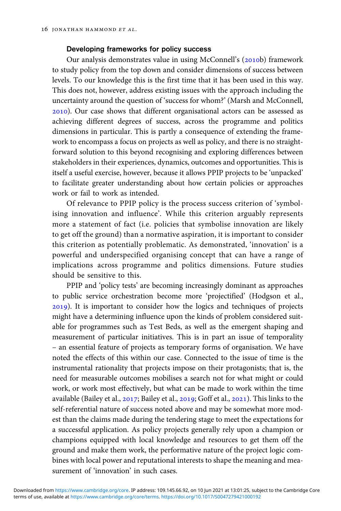#### Developing frameworks for policy success

Our analysis demonstrates value in using McConnell's (2010b) framework to study policy from the top down and consider dimensions of success between levels. To our knowledge this is the first time that it has been used in this way. This does not, however, address existing issues with the approach including the uncertainty around the question of 'success for whom?' (Marsh and McConnell, ). Our case shows that different organisational actors can be assessed as achieving different degrees of success, across the programme and politics dimensions in particular. This is partly a consequence of extending the framework to encompass a focus on projects as well as policy, and there is no straightforward solution to this beyond recognising and exploring differences between stakeholders in their experiences, dynamics, outcomes and opportunities. This is itself a useful exercise, however, because it allows PPIP projects to be 'unpacked' to facilitate greater understanding about how certain policies or approaches work or fail to work as intended.

Of relevance to PPIP policy is the process success criterion of 'symbolising innovation and influence'. While this criterion arguably represents more a statement of fact (i.e. policies that symbolise innovation are likely to get off the ground) than a normative aspiration, it is important to consider this criterion as potentially problematic. As demonstrated, 'innovation' is a powerful and underspecified organising concept that can have a range of implications across programme and politics dimensions. Future studies should be sensitive to this.

PPIP and 'policy tests' are becoming increasingly dominant as approaches to public service orchestration become more 'projectified' (Hodgson et al., ). It is important to consider how the logics and techniques of projects might have a determining influence upon the kinds of problem considered suitable for programmes such as Test Beds, as well as the emergent shaping and measurement of particular initiatives. This is in part an issue of temporality – an essential feature of projects as temporary forms of organisation. We have noted the effects of this within our case. Connected to the issue of time is the instrumental rationality that projects impose on their protagonists; that is, the need for measurable outcomes mobilises a search not for what might or could work, or work most effectively, but what can be made to work within the time available (Bailey et al.,  $2017$ ; Bailey et al.,  $2019$ ; Goff et al.,  $2021$ ). This links to the self-referential nature of success noted above and may be somewhat more modest than the claims made during the tendering stage to meet the expectations for a successful application. As policy projects generally rely upon a champion or champions equipped with local knowledge and resources to get them off the ground and make them work, the performative nature of the project logic combines with local power and reputational interests to shape the meaning and measurement of 'innovation' in such cases.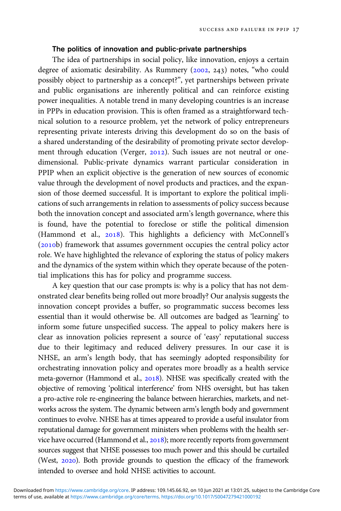#### The politics of innovation and public-private partnerships

The idea of partnerships in social policy, like innovation, enjoys a certain degree of axiomatic desirability. As Rummery (2002, 243) notes, "who could possibly object to partnership as a concept?", yet partnerships between private and public organisations are inherently political and can reinforce existing power inequalities. A notable trend in many developing countries is an increase in PPPs in education provision. This is often framed as a straightforward technical solution to a resource problem, yet the network of policy entrepreneurs representing private interests driving this development do so on the basis of a shared understanding of the desirability of promoting private sector development through education (Verger, 2012). Such issues are not neutral or onedimensional. Public-private dynamics warrant particular consideration in PPIP when an explicit objective is the generation of new sources of economic value through the development of novel products and practices, and the expansion of those deemed successful. It is important to explore the political implications of such arrangements in relation to assessments of policy success because both the innovation concept and associated arm's length governance, where this is found, have the potential to foreclose or stifle the political dimension (Hammond et al., 2018). This highlights a deficiency with McConnell's (2010b) framework that assumes government occupies the central policy actor role. We have highlighted the relevance of exploring the status of policy makers and the dynamics of the system within which they operate because of the potential implications this has for policy and programme success.

A key question that our case prompts is: why is a policy that has not demonstrated clear benefits being rolled out more broadly? Our analysis suggests the innovation concept provides a buffer, so programmatic success becomes less essential than it would otherwise be. All outcomes are badged as 'learning' to inform some future unspecified success. The appeal to policy makers here is clear as innovation policies represent a source of 'easy' reputational success due to their legitimacy and reduced delivery pressures. In our case it is NHSE, an arm's length body, that has seemingly adopted responsibility for orchestrating innovation policy and operates more broadly as a health service meta-governor (Hammond et al., 2018). NHSE was specifically created with the objective of removing 'political interference' from NHS oversight, but has taken a pro-active role re-engineering the balance between hierarchies, markets, and networks across the system. The dynamic between arm's length body and government continues to evolve. NHSE has at times appeared to provide a useful insulator from reputational damage for government ministers when problems with the health service have occurred (Hammond et al., 2018); more recently reports from government sources suggest that NHSE possesses too much power and this should be curtailed (West, 2020). Both provide grounds to question the efficacy of the framework intended to oversee and hold NHSE activities to account.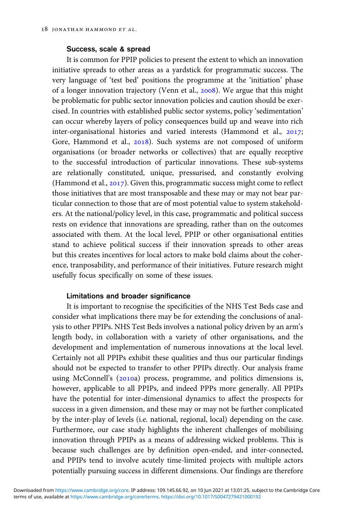#### Success, scale & spread

It is common for PPIP policies to present the extent to which an innovation initiative spreads to other areas as a yardstick for programmatic success. The very language of 'test bed' positions the programme at the 'initiation' phase of a longer innovation trajectory (Venn et al., 2008). We argue that this might be problematic for public sector innovation policies and caution should be exercised. In countries with established public sector systems, policy 'sedimentation' can occur whereby layers of policy consequences build up and weave into rich inter-organisational histories and varied interests (Hammond et al.,  $2017$ ; Gore, Hammond et al., 2018). Such systems are not composed of uniform organisations (or broader networks or collectives) that are equally receptive to the successful introduction of particular innovations. These sub-systems are relationally constituted, unique, pressurised, and constantly evolving (Hammond et al.,  $2017$ ). Given this, programmatic success might come to reflect those initiatives that are most transposable and these may or may not bear particular connection to those that are of most potential value to system stakeholders. At the national/policy level, in this case, programmatic and political success rests on evidence that innovations are spreading, rather than on the outcomes associated with them. At the local level, PPIP or other organisational entities stand to achieve political success if their innovation spreads to other areas but this creates incentives for local actors to make bold claims about the coherence, tranposability, and performance of their initiatives. Future research might usefully focus specifically on some of these issues.

#### Limitations and broader significance

It is important to recognise the specificities of the NHS Test Beds case and consider what implications there may be for extending the conclusions of analysis to other PPIPs. NHS Test Beds involves a national policy driven by an arm's length body, in collaboration with a variety of other organisations, and the development and implementation of numerous innovations at the local level. Certainly not all PPIPs exhibit these qualities and thus our particular findings should not be expected to transfer to other PPIPs directly. Our analysis frame using McConnell's (2010a) process, programme, and politics dimensions is, however, applicable to all PPIPs, and indeed PPPs more generally. All PPIPs have the potential for inter-dimensional dynamics to affect the prospects for success in a given dimension, and these may or may not be further complicated by the inter-play of levels (i.e. national, regional, local) depending on the case. Furthermore, our case study highlights the inherent challenges of mobilising innovation through PPIPs as a means of addressing wicked problems. This is because such challenges are by definition open-ended, and inter-connected, and PPIPs tend to involve acutely time-limited projects with multiple actors potentially pursuing success in different dimensions. Our findings are therefore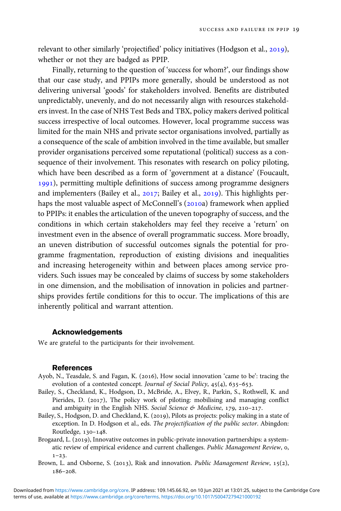relevant to other similarly 'projectified' policy initiatives (Hodgson et al., 2019), whether or not they are badged as PPIP.

Finally, returning to the question of 'success for whom?', our findings show that our case study, and PPIPs more generally, should be understood as not delivering universal 'goods' for stakeholders involved. Benefits are distributed unpredictably, unevenly, and do not necessarily align with resources stakeholders invest. In the case of NHS Test Beds and TBX, policy makers derived political success irrespective of local outcomes. However, local programme success was limited for the main NHS and private sector organisations involved, partially as a consequence of the scale of ambition involved in the time available, but smaller provider organisations perceived some reputational (political) success as a consequence of their involvement. This resonates with research on policy piloting, which have been described as a form of 'government at a distance' (Foucault, 1991), permitting multiple definitions of success among programme designers and implementers (Bailey et al., 2017; Bailey et al., 2019). This highlights perhaps the most valuable aspect of McConnell's (2010a) framework when applied to PPIPs: it enables the articulation of the uneven topography of success, and the conditions in which certain stakeholders may feel they receive a 'return' on investment even in the absence of overall programmatic success. More broadly, an uneven distribution of successful outcomes signals the potential for programme fragmentation, reproduction of existing divisions and inequalities and increasing heterogeneity within and between places among service providers. Such issues may be concealed by claims of success by some stakeholders in one dimension, and the mobilisation of innovation in policies and partnerships provides fertile conditions for this to occur. The implications of this are inherently political and warrant attention.

#### Acknowledgements

We are grateful to the participants for their involvement.

#### References

- Ayob, N., Teasdale, S. and Fagan, K. (2016), How social innovation 'came to be': tracing the evolution of a contested concept. Journal of Social Policy,  $45(4)$ , 635-653.
- Bailey, S., Checkland, K., Hodgson, D., McBride, A., Elvey, R., Parkin, S., Rothwell, K. and Pierides, D. (2017), The policy work of piloting: mobilising and managing conflict and ambiguity in the English NHS. Social Science & Medicine,  $179$ ,  $210-217$ .
- Bailey, S., Hodgson, D. and Checkland, K. (2019), Pilots as projects: policy making in a state of exception. In D. Hodgson et al., eds. The projectification of the public sector. Abingdon: Routledge, 130-148.
- Brogaard, L. (2019), Innovative outcomes in public-private innovation partnerships: a systematic review of empirical evidence and current challenges. Public Management Review, o.  $1 - 23$ .
- Brown, L. and Osborne, S. (2013), Risk and innovation. Public Management Review, 15(2),  $186 - 208$ .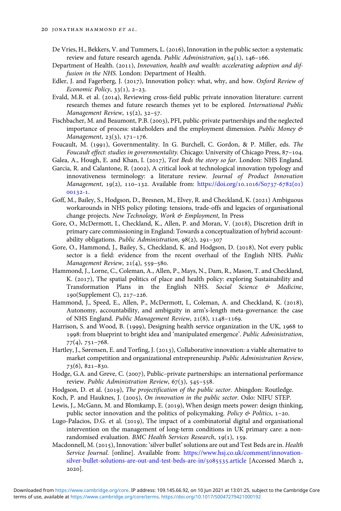- De Vries, H., Bekkers, V. and Tummers, L. (2016), Innovation in the public sector: a systematic review and future research agenda. Public Administration,  $94(1)$ ,  $146-166$ .
- Department of Health. (2011), Innovation, health and wealth: accelerating adoption and diffusion in the NHS. London: Department of Health.
- Edler, J. and Fagerberg, J. (2017), Innovation policy: what, why, and how. Oxford Review of Economic Policy,  $33(1)$ ,  $2-23$ .
- Evald, M.R. et al. (2014), Reviewing cross-field public private innovation literature: current research themes and future research themes yet to be explored. International Public Management Review,  $15(2)$ ,  $32-57$ .
- Fischbacher, M. and Beaumont, P.B. (2003), PFI, public-private partnerships and the neglected importance of process: stakeholders and the employment dimension. Public Money & Management,  $23(3)$ ,  $171-176$ .
- Foucault, M. (1991), Governmentality. In G. Burchell, C. Gordon, & P. Miller, eds. The Foucault effect: studies in governmentality. Chicago: University of Chicago Press, 87-104.

Galea, A., Hough, E. and Khan, I. (2017), Test Beds the story so far. London: NHS England.

- Garcia, R. and Calantone, R. (2002), A critical look at technological innovation typology and innovativeness terminology: a literature review. Journal of Product Innovation Management,  $19(2)$ ,  $110-132$ . Available from: [https://doi.org/](https://doi.org/10.1016/S0737-6782(01)00132-1)10.1016/S0737-6782(01) 00132-1.
- Goff, M., Bailey, S., Hodgson, D., Bresnen, M., Elvey, R. and Checkland, K. (2021) Ambiguous workarounds in NHS policy piloting: tensions, trade-offs and legacies of organisational change projects. New Technology, Work & Employment, In Press
- Gore, O., McDermott, I., Checkland, K., Allen, P. and Moran, V. (2018), Discretion drift in primary care commissioning in England: Towards a conceptualization of hybrid accountability obligations. Public Administration,  $98(2)$ , 291-307
- Gore, O., Hammond, J., Bailey, S., Checkland, K. and Hodgson, D. (2018), Not every public sector is a field: evidence from the recent overhaul of the English NHS. Public Management Review,  $21(4)$ , 559-580.
- Hammond, J., Lorne, C., Coleman, A., Allen, P., Mays, N., Dam, R., Mason, T. and Checkland, K. (2017), The spatial politics of place and health policy: exploring Sustainability and Transformation Plans in the English NHS. Social Science & Medicine,  $190(Supplement C), 217-226.$
- Hammond, J., Speed, E., Allen, P., McDermott, I., Coleman, A. and Checkland, K. (2018), Autonomy, accountability, and ambiguity in arm's-length meta-governance: the case of NHS England. Public Management Review, 21(8), 1148-1169.
- Harrison, S. and Wood, B. (1999), Designing health service organization in the UK,  $1968$  to 1998: from blueprint to bright idea and 'manipulated emergence'. Public Administration,  $77(4), 751 - 768.$
- Hartley, J., Sørensen, E. and Torfing, J. (2013), Collaborative innovation: a viable alternative to market competition and organizational entrepreneurship. Public Administration Review,  $73(6), 821-830.$
- Hodge, G.A. and Greve, C. (2007), Public-private partnerships: an international performance review. Public Administration Review,  $67(3)$ , 545-558.
- Hodgson, D. et al. (2019), The projectification of the public sector. Abingdon: Routledge.
- Koch, P. and Hauknes, J. (2005), On innovation in the public sector. Oslo: NIFU STEP.
- Lewis, J., McGann, M. and Blomkamp, E. (2019), When design meets power: design thinking, public sector innovation and the politics of policymaking. Policy  $\&$  Politics, 1-20.
- Lugo-Palacios, D.G. et al. (2019), The impact of a combinatorial digital and organisational intervention on the management of long-term conditions in UK primary care: a nonrandomised evaluation. BMC Health Services Research,  $19(1)$ ,  $159$ .
- Macdonnell, M. (2015), Innovation: 'silver bullet' solutions are out and Test Beds are in. Health Service Journal. [online]. Available from: [https://www.hsj.co.uk/comment/innovation](https://www.hsj.co.uk/comment/innovation-silver-bullet-solutions-are-out-and-test-beds-are-in/5085535.article)[silver-bullet-solutions-are-out-and-test-beds-are-in/](https://www.hsj.co.uk/comment/innovation-silver-bullet-solutions-are-out-and-test-beds-are-in/5085535.article)5085535.article [Accessed March 2, 2020].